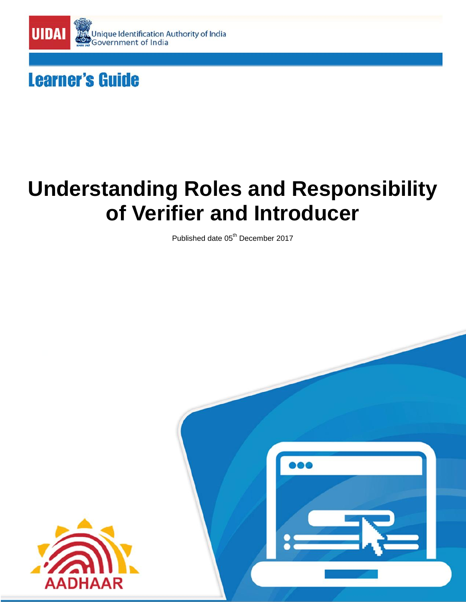

# **Learner's Guide**

# **Understanding Roles and Responsibility of Verifier and Introducer**

Published date 05<sup>th</sup> December 2017



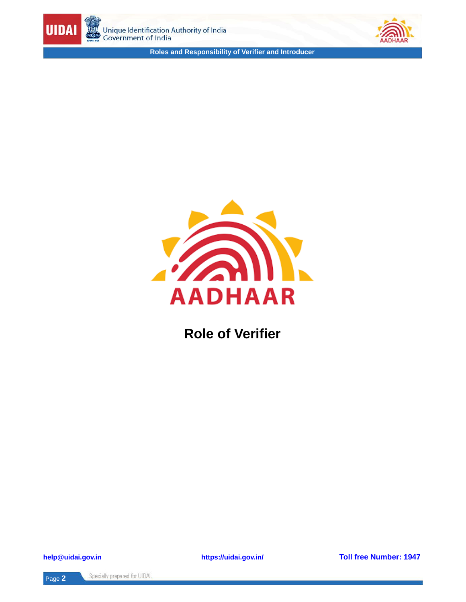





**Role of Verifier**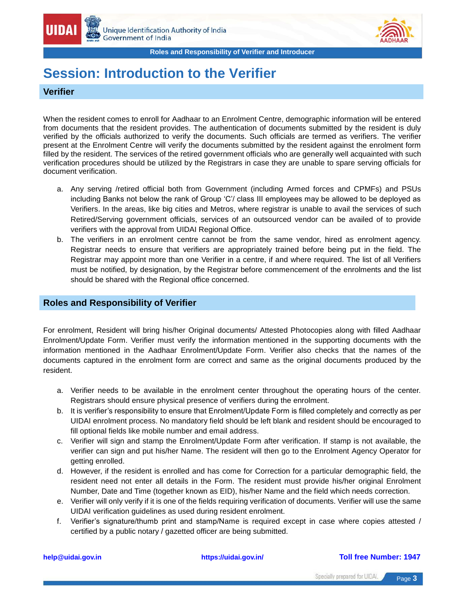

# **Session: Introduction to the Verifier**

### **Verifier**

When the resident comes to enroll for Aadhaar to an Enrolment Centre, demographic information will be entered from documents that the resident provides. The authentication of documents submitted by the resident is duly verified by the officials authorized to verify the documents. Such officials are termed as verifiers. The verifier present at the Enrolment Centre will verify the documents submitted by the resident against the enrolment form filled by the resident. The services of the retired government officials who are generally well acquainted with such verification procedures should be utilized by the Registrars in case they are unable to spare serving officials for document verification.

- a. Any serving /retired official both from Government (including Armed forces and CPMFs) and PSUs including Banks not below the rank of Group "C"/ class III employees may be allowed to be deployed as Verifiers. In the areas, like big cities and Metros, where registrar is unable to avail the services of such Retired/Serving government officials, services of an outsourced vendor can be availed of to provide verifiers with the approval from UIDAI Regional Office.
- b. The verifiers in an enrolment centre cannot be from the same vendor, hired as enrolment agency. Registrar needs to ensure that verifiers are appropriately trained before being put in the field. The Registrar may appoint more than one Verifier in a centre, if and where required. The list of all Verifiers must be notified, by designation, by the Registrar before commencement of the enrolments and the list should be shared with the Regional office concerned.

### **Roles and Responsibility of Verifier**

For enrolment, Resident will bring his/her Original documents/ Attested Photocopies along with filled Aadhaar Enrolment/Update Form. Verifier must verify the information mentioned in the supporting documents with the information mentioned in the Aadhaar Enrolment/Update Form. Verifier also checks that the names of the documents captured in the enrolment form are correct and same as the original documents produced by the resident.

- a. Verifier needs to be available in the enrolment center throughout the operating hours of the center. Registrars should ensure physical presence of verifiers during the enrolment.
- b. It is verifier"s responsibility to ensure that Enrolment/Update Form is filled completely and correctly as per UIDAI enrolment process. No mandatory field should be left blank and resident should be encouraged to fill optional fields like mobile number and email address.
- c. Verifier will sign and stamp the Enrolment/Update Form after verification. If stamp is not available, the verifier can sign and put his/her Name. The resident will then go to the Enrolment Agency Operator for getting enrolled.
- d. However, if the resident is enrolled and has come for Correction for a particular demographic field, the resident need not enter all details in the Form. The resident must provide his/her original Enrolment Number, Date and Time (together known as EID), his/her Name and the field which needs correction.
- e. Verifier will only verify if it is one of the fields requiring verification of documents. Verifier will use the same UIDAI verification guidelines as used during resident enrolment.
- f. Verifier"s signature/thumb print and stamp/Name is required except in case where copies attested / certified by a public notary / gazetted officer are being submitted.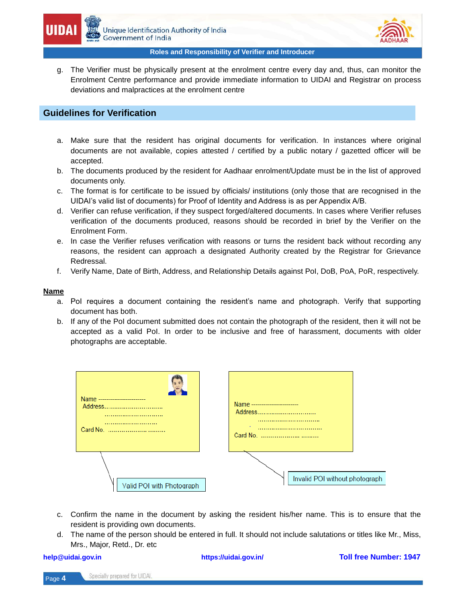

g. The Verifier must be physically present at the enrolment centre every day and, thus, can monitor the Enrolment Centre performance and provide immediate information to UIDAI and Registrar on process deviations and malpractices at the enrolment centre

### **Guidelines for Verification**

- a. Make sure that the resident has original documents for verification. In instances where original documents are not available, copies attested / certified by a public notary / gazetted officer will be accepted.
- b. The documents produced by the resident for Aadhaar enrolment/Update must be in the list of approved documents only.
- c. The format is for certificate to be issued by officials/ institutions (only those that are recognised in the UIDAI"s valid list of documents) for Proof of Identity and Address is as per Appendix A/B.
- d. Verifier can refuse verification, if they suspect forged/altered documents. In cases where Verifier refuses verification of the documents produced, reasons should be recorded in brief by the Verifier on the Enrolment Form.
- e. In case the Verifier refuses verification with reasons or turns the resident back without recording any reasons, the resident can approach a designated Authority created by the Registrar for Grievance Redressal.
- f. Verify Name, Date of Birth, Address, and Relationship Details against PoI, DoB, PoA, PoR, respectively.

### **Name**

- a. PoI requires a document containing the resident"s name and photograph. Verify that supporting document has both.
- b. If any of the PoI document submitted does not contain the photograph of the resident, then it will not be accepted as a valid PoI. In order to be inclusive and free of harassment, documents with older photographs are acceptable.

|                           | Name ------------------<br>Address<br><br><br>Card No. | Name ----------------<br>Address<br><br> |
|---------------------------|--------------------------------------------------------|------------------------------------------|
| Valid POI with Photograph |                                                        | Invalid POI without photograph           |

- c. Confirm the name in the document by asking the resident his/her name. This is to ensure that the resident is providing own documents.
- d. The name of the person should be entered in full. It should not include salutations or titles like Mr., Miss, Mrs., Major, Retd., Dr. etc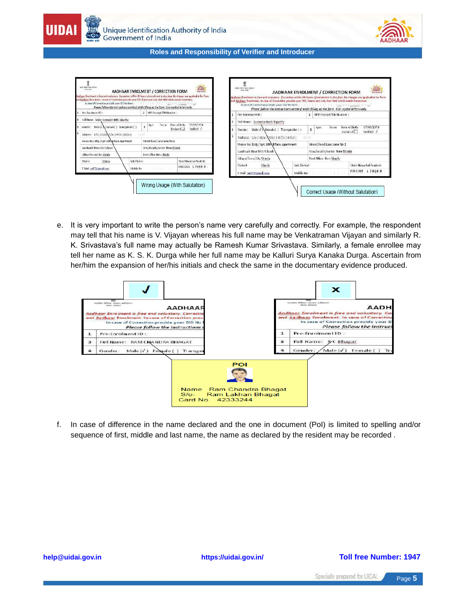



e. It is very important to write the person"s name very carefully and correctly. For example, the respondent may tell that his name is V. Vijayan whereas his full name may be Venkatraman Vijayan and similarly R. K. Srivastava's full name may actually be Ramesh Kumar Srivastava. Similarly, a female enrollee may tell her name as K. S. K. Durga while her full name may be Kalluri Surya Kanaka Durga. Ascertain from her/him the expansion of her/his initials and check the same in the documentary evidence produced.



f. In case of difference in the name declared and the one in document (PoI) is limited to spelling and/or sequence of first, middle and last name, the name as declared by the resident may be recorded .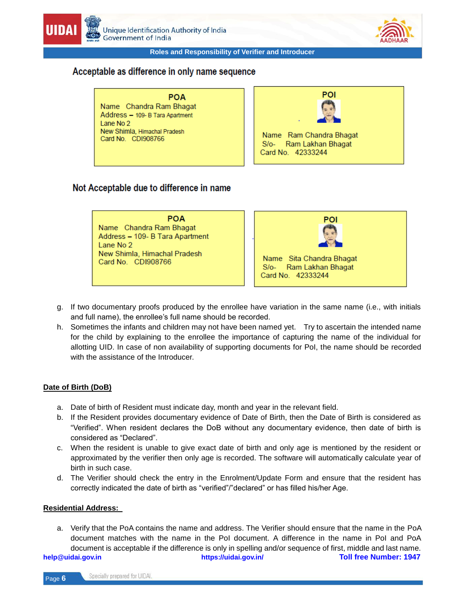

### Acceptable as difference in only name sequence

**POA** Name Chandra Ram Bhagat Address - 109- B Tara Apartment Lane No 2 New Shimla, Himachal Pradesh Card No. CDI908766



### Not Acceptable due to difference in name

**POA** Name Chandra Ram Bhagat Address - 109- B Tara Apartment Lane No 2 New Shimla, Himachal Pradesh Card No. CDI908766



- g. If two documentary proofs produced by the enrollee have variation in the same name (i.e., with initials and full name), the enrollee's full name should be recorded.
- h. Sometimes the infants and children may not have been named yet. Try to ascertain the intended name for the child by explaining to the enrollee the importance of capturing the name of the individual for allotting UID. In case of non availability of supporting documents for PoI, the name should be recorded with the assistance of the Introducer.

### **Date of Birth (DoB)**

- a. Date of birth of Resident must indicate day, month and year in the relevant field.
- b. If the Resident provides documentary evidence of Date of Birth, then the Date of Birth is considered as "Verified". When resident declares the DoB without any documentary evidence, then date of birth is considered as "Declared".
- c. When the resident is unable to give exact date of birth and only age is mentioned by the resident or approximated by the verifier then only age is recorded. The software will automatically calculate year of birth in such case.
- d. The Verifier should check the entry in the Enrolment/Update Form and ensure that the resident has correctly indicated the date of birth as "verified"/"declared" or has filled his/her Age.

### **Residential Address:**

**help@uidai.gov.in https://uidai.gov.in/ Toll free Number: 1947** a. Verify that the PoA contains the name and address. The Verifier should ensure that the name in the PoA document matches with the name in the PoI document. A difference in the name in PoI and PoA document is acceptable if the difference is only in spelling and/or sequence of first, middle and last name.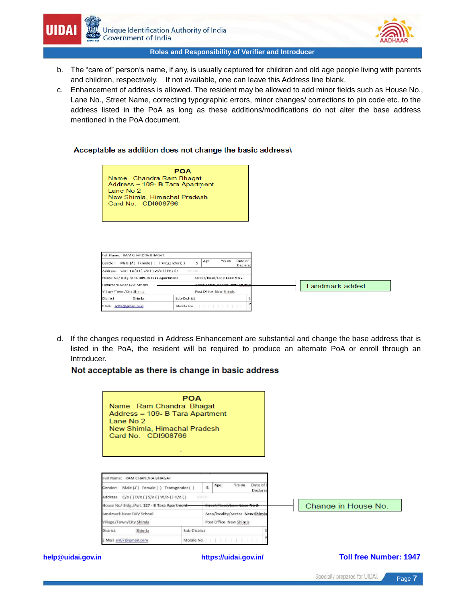



- b. The "care of" person"s name, if any, is usually captured for children and old age people living with parents and children, respectively. If not available, one can leave this Address line blank.
- c. Enhancement of address is allowed. The resident may be allowed to add minor fields such as House No., Lane No., Street Name, correcting typographic errors, minor changes/ corrections to pin code etc. to the address listed in the PoA as long as these additions/modifications do not alter the base address mentioned in the PoA document.

### Acceptable as addition does not change the basic address\

**POA** Name Chandra Ram Bhagat Address - 109- B Tara Apartment Lane No 2 New Shimla, Himachal Pradesh Card No. CDI908766

| Date of <b>E</b><br>Age:<br>Yrs on<br>5<br>Declared |                                                                 |
|-----------------------------------------------------|-----------------------------------------------------------------|
| NAME                                                |                                                                 |
| Street/Road/Lane Lane No 2                          |                                                                 |
| Area/Incality/sector_New Shimla                     | Landmark added                                                  |
| Post Office New Shimls                              |                                                                 |
|                                                     |                                                                 |
|                                                     |                                                                 |
|                                                     | Male (J) Female     Transgender ()<br>Sub-District<br>Mobile No |

d. If the changes requested in Address Enhancement are substantial and change the base address that is listed in the PoA, the resident will be required to produce an alternate PoA or enroll through an Introducer.

### Not acceptable as there is change in basic address

|                          | Name Ram Chandra Bhagat<br>Address - 109- B Tara Apartment<br>Lane No 2<br>New Shimla, Himachal Pradesh<br>Card No. CDI908766 | <b>POA</b><br>٠        |                                           |                               |  |
|--------------------------|-------------------------------------------------------------------------------------------------------------------------------|------------------------|-------------------------------------------|-------------------------------|--|
|                          | Full Name: RAM CHANDRA BHAGAT                                                                                                 |                        |                                           |                               |  |
|                          | Gender: Male (J) Female () Transgender ()                                                                                     |                        | Date of<br>Yrs on<br>Age:<br>5<br>Declare |                               |  |
|                          | Address: C/o () D/o () S/o () W/o () H/o ()<br>NAME                                                                           |                        |                                           |                               |  |
|                          | House No/ Bldg /Apt. 127 - B Tara Apartment-                                                                                  |                        | Street/Road/Lone Lane No 2                | Change in House No.           |  |
|                          | Landmark Near DAV School                                                                                                      |                        | Area/locality/sector New Shimla           |                               |  |
| Village/Town/City Shimla |                                                                                                                               | Post Office New Shimls |                                           |                               |  |
|                          | <b>District</b><br>Shimla                                                                                                     | Sub-District           |                                           |                               |  |
|                          | Mail sn07@gmail.com                                                                                                           | Mobile No              |                                           |                               |  |
| help@uidai.gov.in        |                                                                                                                               |                        | https://uidai.gov.in/                     | <b>Toll free Number: 1947</b> |  |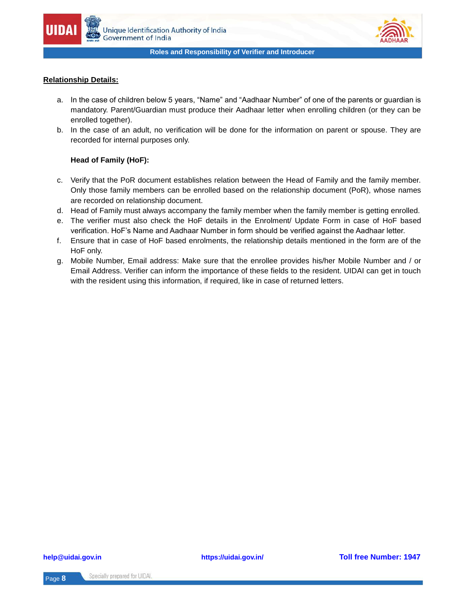

### **Relationship Details:**

- a. In the case of children below 5 years, "Name" and "Aadhaar Number" of one of the parents or guardian is mandatory. Parent/Guardian must produce their Aadhaar letter when enrolling children (or they can be enrolled together).
- b. In the case of an adult, no verification will be done for the information on parent or spouse. They are recorded for internal purposes only.

### **Head of Family (HoF):**

- c. Verify that the PoR document establishes relation between the Head of Family and the family member. Only those family members can be enrolled based on the relationship document (PoR), whose names are recorded on relationship document.
- d. Head of Family must always accompany the family member when the family member is getting enrolled.
- e. The verifier must also check the HoF details in the Enrolment/ Update Form in case of HoF based verification. HoF"s Name and Aadhaar Number in form should be verified against the Aadhaar letter.
- f. Ensure that in case of HoF based enrolments, the relationship details mentioned in the form are of the HoF only.
- g. Mobile Number, Email address: Make sure that the enrollee provides his/her Mobile Number and / or Email Address. Verifier can inform the importance of these fields to the resident. UIDAI can get in touch with the resident using this information, if required, like in case of returned letters.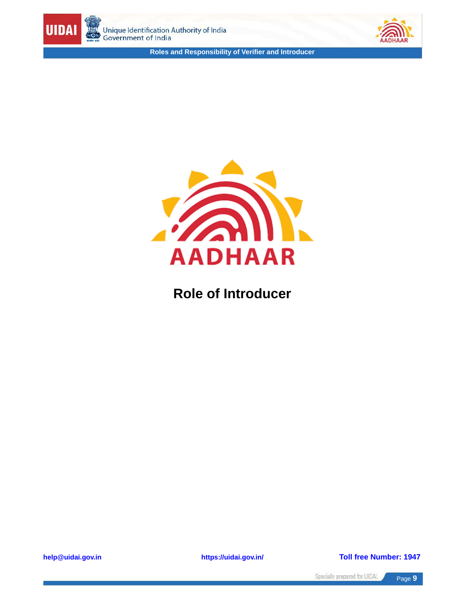





## **Role of Introducer**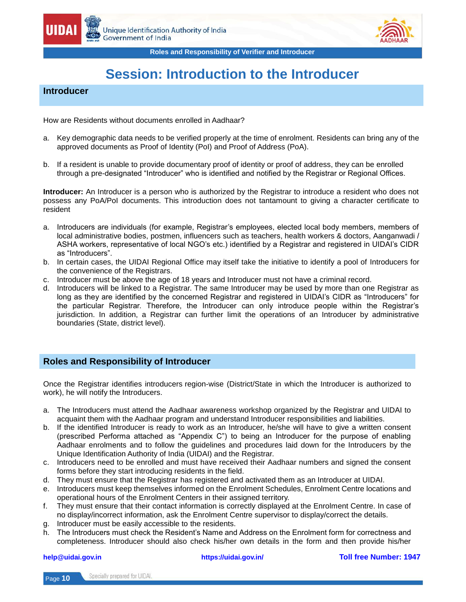



# **Session: Introduction to the Introducer**

### **Introducer**

How are Residents without documents enrolled in Aadhaar?

- a. Key demographic data needs to be verified properly at the time of enrolment. Residents can bring any of the approved documents as Proof of Identity (PoI) and Proof of Address (PoA).
- b. If a resident is unable to provide documentary proof of identity or proof of address, they can be enrolled through a pre-designated "Introducer" who is identified and notified by the Registrar or Regional Offices.

**Introducer:** An Introducer is a person who is authorized by the Registrar to introduce a resident who does not possess any PoA/PoI documents. This introduction does not tantamount to giving a character certificate to resident

- a. Introducers are individuals (for example, Registrar's employees, elected local body members, members of local administrative bodies, postmen, influencers such as teachers, health workers & doctors, Aanganwadi / ASHA workers, representative of local NGO"s etc.) identified by a Registrar and registered in UIDAI"s CIDR as "Introducers".
- b. In certain cases, the UIDAI Regional Office may itself take the initiative to identify a pool of Introducers for the convenience of the Registrars.
- c. Introducer must be above the age of 18 years and Introducer must not have a criminal record.
- d. Introducers will be linked to a Registrar. The same Introducer may be used by more than one Registrar as long as they are identified by the concerned Registrar and registered in UIDAI"s CIDR as "Introducers" for the particular Registrar. Therefore, the Introducer can only introduce people within the Registrar"s jurisdiction. In addition, a Registrar can further limit the operations of an Introducer by administrative boundaries (State, district level).

### **Roles and Responsibility of Introducer**

Once the Registrar identifies introducers region-wise (District/State in which the Introducer is authorized to work), he will notify the Introducers.

- a. The Introducers must attend the Aadhaar awareness workshop organized by the Registrar and UIDAI to acquaint them with the Aadhaar program and understand Introducer responsibilities and liabilities.
- b. If the identified Introducer is ready to work as an Introducer, he/she will have to give a written consent (prescribed Performa attached as "Appendix C") to being an Introducer for the purpose of enabling Aadhaar enrolments and to follow the guidelines and procedures laid down for the Introducers by the Unique Identification Authority of India (UIDAI) and the Registrar.
- c. Introducers need to be enrolled and must have received their Aadhaar numbers and signed the consent forms before they start introducing residents in the field.
- d. They must ensure that the Registrar has registered and activated them as an Introducer at UIDAI.
- e. Introducers must keep themselves informed on the Enrolment Schedules, Enrolment Centre locations and operational hours of the Enrolment Centers in their assigned territory.
- f. They must ensure that their contact information is correctly displayed at the Enrolment Centre. In case of no display/incorrect information, ask the Enrolment Centre supervisor to display/correct the details.
- g. Introducer must be easily accessible to the residents.
- h. The Introducers must check the Resident"s Name and Address on the Enrolment form for correctness and completeness. Introducer should also check his/her own details in the form and then provide his/her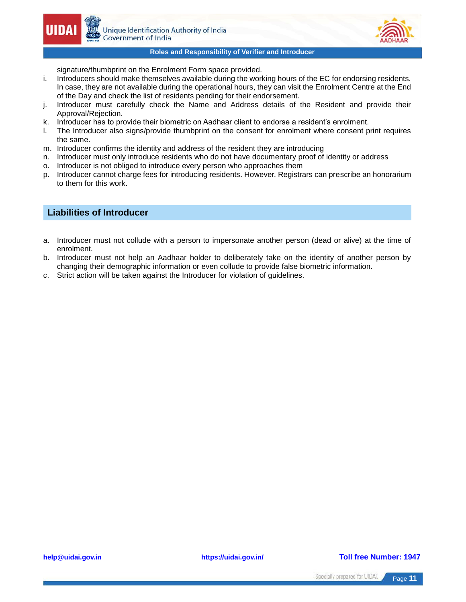

signature/thumbprint on the Enrolment Form space provided.

- i. Introducers should make themselves available during the working hours of the EC for endorsing residents. In case, they are not available during the operational hours, they can visit the Enrolment Centre at the End of the Day and check the list of residents pending for their endorsement.
- j. Introducer must carefully check the Name and Address details of the Resident and provide their Approval/Rejection.
- k. Introducer has to provide their biometric on Aadhaar client to endorse a resident's enrolment.
- l. The Introducer also signs/provide thumbprint on the consent for enrolment where consent print requires the same.
- m. Introducer confirms the identity and address of the resident they are introducing
- n. Introducer must only introduce residents who do not have documentary proof of identity or address
- o. Introducer is not obliged to introduce every person who approaches them
- p. Introducer cannot charge fees for introducing residents. However, Registrars can prescribe an honorarium to them for this work.

### **Liabilities of Introducer**

- a. Introducer must not collude with a person to impersonate another person (dead or alive) at the time of enrolment.
- b. Introducer must not help an Aadhaar holder to deliberately take on the identity of another person by changing their demographic information or even collude to provide false biometric information.
- c. Strict action will be taken against the Introducer for violation of guidelines.

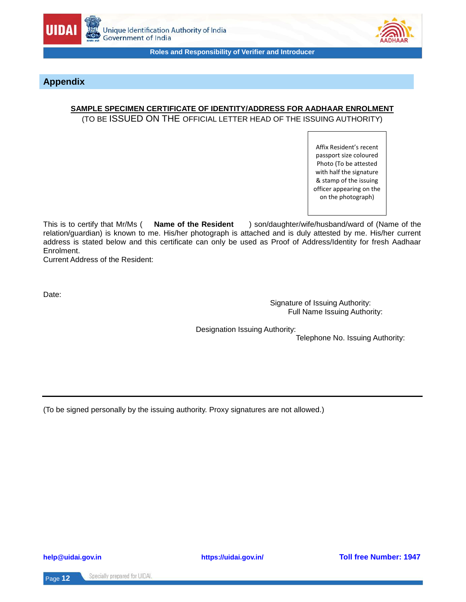



### **Appendix**

### **SAMPLE SPECIMEN CERTIFICATE OF IDENTITY/ADDRESS FOR AADHAAR ENROLMENT**

(TO BE ISSUED ON THE OFFICIAL LETTER HEAD OF THE ISSUING AUTHORITY)

Affix Resident's recent passport size coloured Photo (To be attested with half the signature & stamp of the issuing officer appearing on the on the photograph)

This is to certify that Mr/Ms ( **Name of the Resident** ) son/daughter/wife/husband/ward of (Name of the relation/guardian) is known to me. His/her photograph is attached and is duly attested by me. His/her current address is stated below and this certificate can only be used as Proof of Address/Identity for fresh Aadhaar Enrolment.

Current Address of the Resident:

Date:

 Signature of Issuing Authority: Full Name Issuing Authority:

Designation Issuing Authority:

Telephone No. Issuing Authority:

(To be signed personally by the issuing authority. Proxy signatures are not allowed.)